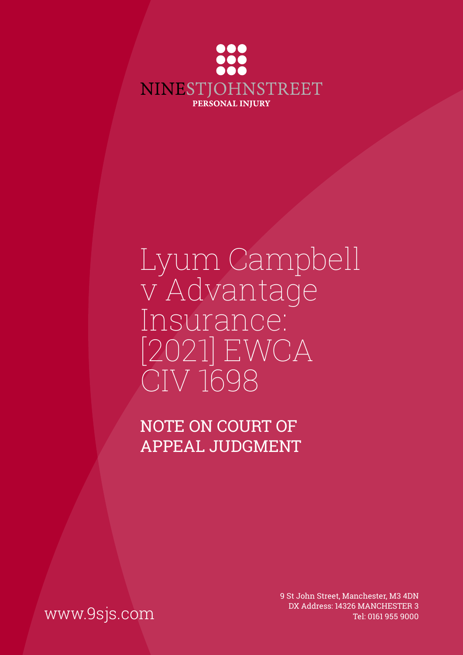

# Lyum Campbell v Advantage Insurance: [2021] EWCA CIV 1698

NOTE ON COURT OF APPEAL JUDGMENT

9 St John Street, Manchester, M3 4DN DX Address: 14326 MANCHESTER 3<br>Tel: 0161 955 9000 Tel: 0161 955 9000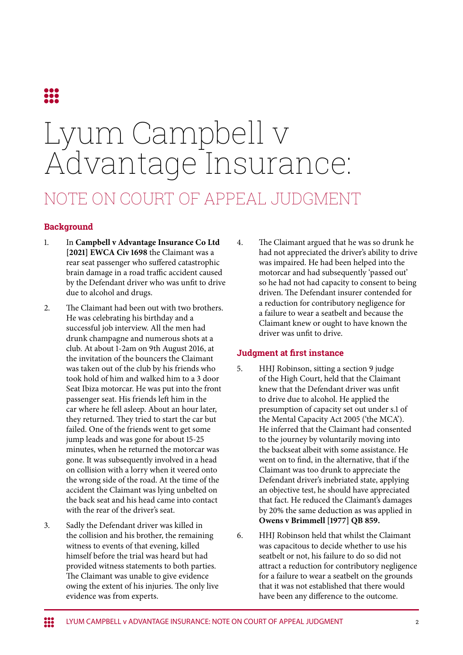

# Lyum Campbell v Advantage Insurance: NOTE ON COURT OF APPEAL JUDGMENT

## **Background**

- 1. In **Campbell v Advantage Insurance Co Ltd [2021] EWCA Civ 1698** the Claimant was a rear seat passenger who suffered catastrophic brain damage in a road traffic accident caused by the Defendant driver who was unfit to drive due to alcohol and drugs.
- 2. The Claimant had been out with two brothers. He was celebrating his birthday and a successful job interview. All the men had drunk champagne and numerous shots at a club. At about 1-2am on 9th August 2016, at the invitation of the bouncers the Claimant was taken out of the club by his friends who took hold of him and walked him to a 3 door Seat Ibiza motorcar. He was put into the front passenger seat. His friends left him in the car where he fell asleep. About an hour later, they returned. They tried to start the car but failed. One of the friends went to get some jump leads and was gone for about 15-25 minutes, when he returned the motorcar was gone. It was subsequently involved in a head on collision with a lorry when it veered onto the wrong side of the road. At the time of the accident the Claimant was lying unbelted on the back seat and his head came into contact with the rear of the driver's seat.
- 3. Sadly the Defendant driver was killed in the collision and his brother, the remaining witness to events of that evening, killed himself before the trial was heard but had provided witness statements to both parties. The Claimant was unable to give evidence owing the extent of his injuries. The only live evidence was from experts.

4. The Claimant argued that he was so drunk he had not appreciated the driver's ability to drive was impaired. He had been helped into the motorcar and had subsequently 'passed out' so he had not had capacity to consent to being driven. The Defendant insurer contended for a reduction for contributory negligence for a failure to wear a seatbelt and because the Claimant knew or ought to have known the driver was unfit to drive.

#### **Judgment at first instance**

- 5. HHJ Robinson, sitting a section 9 judge of the High Court, held that the Claimant knew that the Defendant driver was unfit to drive due to alcohol. He applied the presumption of capacity set out under s.1 of the Mental Capacity Act 2005 ('the MCA'). He inferred that the Claimant had consented to the journey by voluntarily moving into the backseat albeit with some assistance. He went on to find, in the alternative, that if the Claimant was too drunk to appreciate the Defendant driver's inebriated state, applying an objective test, he should have appreciated that fact. He reduced the Claimant's damages by 20% the same deduction as was applied in **Owens v Brimmell [1977] QB 859.**
- 6. HHJ Robinson held that whilst the Claimant was capacitous to decide whether to use his seatbelt or not, his failure to do so did not attract a reduction for contributory negligence for a failure to wear a seatbelt on the grounds that it was not established that there would have been any difference to the outcome.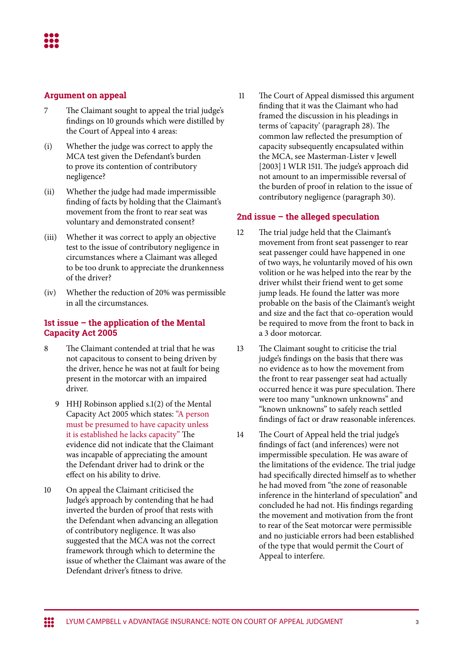- 7 The Claimant sought to appeal the trial judge's findings on 10 grounds which were distilled by the Court of Appeal into 4 areas:
- (i) Whether the judge was correct to apply the MCA test given the Defendant's burden to prove its contention of contributory negligence?
- (ii) Whether the judge had made impermissible finding of facts by holding that the Claimant's movement from the front to rear seat was voluntary and demonstrated consent?
- (iii) Whether it was correct to apply an objective test to the issue of contributory negligence in circumstances where a Claimant was alleged to be too drunk to appreciate the drunkenness of the driver?
- (iv) Whether the reduction of 20% was permissible in all the circumstances.

#### **1st issue – the application of the Mental Capacity Act 2005**

- 8 The Claimant contended at trial that he was not capacitous to consent to being driven by the driver, hence he was not at fault for being present in the motorcar with an impaired driver.
	- 9 HHJ Robinson applied s.1(2) of the Mental Capacity Act 2005 which states: "A person must be presumed to have capacity unless it is established he lacks capacity" The evidence did not indicate that the Claimant was incapable of appreciating the amount the Defendant driver had to drink or the effect on his ability to drive.
- 10 On appeal the Claimant criticised the Judge's approach by contending that he had inverted the burden of proof that rests with the Defendant when advancing an allegation of contributory negligence. It was also suggested that the MCA was not the correct framework through which to determine the issue of whether the Claimant was aware of the Defendant driver's fitness to drive.

 11 The Court of Appeal dismissed this argument finding that it was the Claimant who had framed the discussion in his pleadings in terms of 'capacity' (paragraph 28). The common law reflected the presumption of capacity subsequently encapsulated within the MCA, see Masterman-Lister v Jewell [2003] 1 WLR 1511. The judge's approach did not amount to an impermissible reversal of the burden of proof in relation to the issue of contributory negligence (paragraph 30).

### **2nd issue – the alleged speculation**

- 12 The trial judge held that the Claimant's movement from front seat passenger to rear seat passenger could have happened in one of two ways, he voluntarily moved of his own volition or he was helped into the rear by the driver whilst their friend went to get some jump leads. He found the latter was more probable on the basis of the Claimant's weight and size and the fact that co-operation would be required to move from the front to back in a 3 door motorcar.
- 13 The Claimant sought to criticise the trial judge's findings on the basis that there was no evidence as to how the movement from the front to rear passenger seat had actually occurred hence it was pure speculation. There were too many "unknown unknowns" and "known unknowns" to safely reach settled findings of fact or draw reasonable inferences.
- 14 The Court of Appeal held the trial judge's findings of fact (and inferences) were not impermissible speculation. He was aware of the limitations of the evidence. The trial judge had specifically directed himself as to whether he had moved from "the zone of reasonable inference in the hinterland of speculation" and concluded he had not. His findings regarding the movement and motivation from the front to rear of the Seat motorcar were permissible and no justiciable errors had been established of the type that would permit the Court of Appeal to interfere.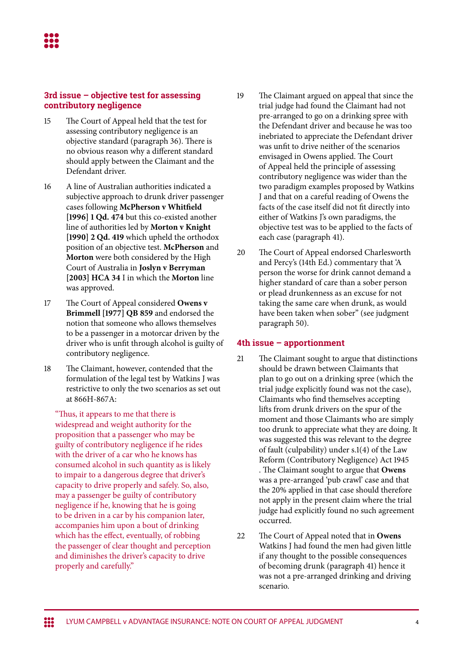#### **3rd issue – objective test for assessing contributory negligence**

- 15 The Court of Appeal held that the test for assessing contributory negligence is an objective standard (paragraph 36). There is no obvious reason why a different standard should apply between the Claimant and the Defendant driver.
- 16 A line of Australian authorities indicated a subjective approach to drunk driver passenger cases following **McPherson v Whitfield [1996] 1 Qd. 474** but this co-existed another line of authorities led by **Morton v Knight [1990] 2 Qd. 419** which upheld the orthodox position of an objective test. **McPherson** and **Morton** were both considered by the High Court of Australia in **Joslyn v Berryman [2003] HCA 34** I in which the **Morton** line was approved.
- 17 The Court of Appeal considered **Owens v Brimmell [1977] QB 859** and endorsed the notion that someone who allows themselves to be a passenger in a motorcar driven by the driver who is unfit through alcohol is guilty of contributory negligence.
- 18 The Claimant, however, contended that the formulation of the legal test by Watkins J was restrictive to only the two scenarios as set out at 866H-867A:

"Thus, it appears to me that there is widespread and weight authority for the proposition that a passenger who may be guilty of contributory negligence if he rides with the driver of a car who he knows has consumed alcohol in such quantity as is likely to impair to a dangerous degree that driver's capacity to drive properly and safely. So, also, may a passenger be guilty of contributory negligence if he, knowing that he is going to be driven in a car by his companion later, accompanies him upon a bout of drinking which has the effect, eventually, of robbing the passenger of clear thought and perception and diminishes the driver's capacity to drive properly and carefully."

- 19 The Claimant argued on appeal that since the trial judge had found the Claimant had not pre-arranged to go on a drinking spree with the Defendant driver and because he was too inebriated to appreciate the Defendant driver was unfit to drive neither of the scenarios envisaged in Owens applied. The Court of Appeal held the principle of assessing contributory negligence was wider than the two paradigm examples proposed by Watkins J and that on a careful reading of Owens the facts of the case itself did not fit directly into either of Watkins J's own paradigms, the objective test was to be applied to the facts of each case (paragraph 41).
- 20 The Court of Appeal endorsed Charlesworth and Percy's (14th Ed.) commentary that 'A person the worse for drink cannot demand a higher standard of care than a sober person or plead drunkenness as an excuse for not taking the same care when drunk, as would have been taken when sober" (see judgment paragraph 50).

### **4th issue – apportionment**

- 21 The Claimant sought to argue that distinctions should be drawn between Claimants that plan to go out on a drinking spree (which the trial judge explicitly found was not the case), Claimants who find themselves accepting lifts from drunk drivers on the spur of the moment and those Claimants who are simply too drunk to appreciate what they are doing. It was suggested this was relevant to the degree of fault (culpability) under s.1(4) of the Law Reform (Contributory Negligence) Act 1945 . The Claimant sought to argue that **Owens**  was a pre-arranged 'pub crawl' case and that the 20% applied in that case should therefore not apply in the present claim where the trial judge had explicitly found no such agreement occurred.
- 22 The Court of Appeal noted that in **Owens**  Watkins J had found the men had given little if any thought to the possible consequences of becoming drunk (paragraph 41) hence it was not a pre-arranged drinking and driving scenario.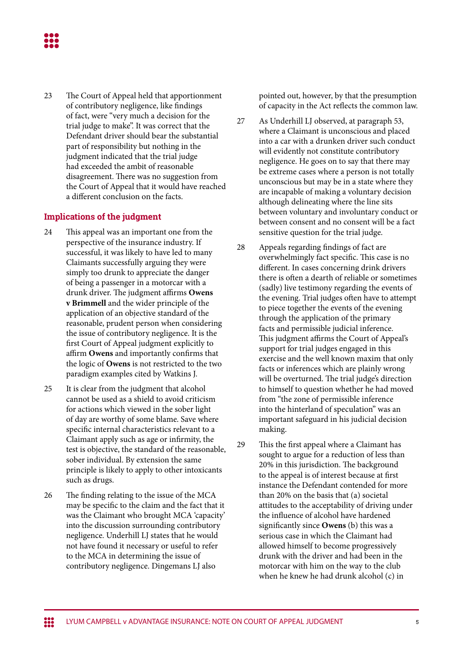23 The Court of Appeal held that apportionment of contributory negligence, like findings of fact, were "very much a decision for the trial judge to make". It was correct that the Defendant driver should bear the substantial part of responsibility but nothing in the judgment indicated that the trial judge had exceeded the ambit of reasonable disagreement. There was no suggestion from the Court of Appeal that it would have reached a different conclusion on the facts.

## **Implications of the judgment**

- 24 This appeal was an important one from the perspective of the insurance industry. If successful, it was likely to have led to many Claimants successfully arguing they were simply too drunk to appreciate the danger of being a passenger in a motorcar with a drunk driver. The judgment affirms **Owens v Brimmell** and the wider principle of the application of an objective standard of the reasonable, prudent person when considering the issue of contributory negligence. It is the first Court of Appeal judgment explicitly to affirm **Owens** and importantly confirms that the logic of **Owens** is not restricted to the two paradigm examples cited by Watkins J.
- 25 It is clear from the judgment that alcohol cannot be used as a shield to avoid criticism for actions which viewed in the sober light of day are worthy of some blame. Save where specific internal characteristics relevant to a Claimant apply such as age or infirmity, the test is objective, the standard of the reasonable, sober individual. By extension the same principle is likely to apply to other intoxicants such as drugs.
- 26 The finding relating to the issue of the MCA may be specific to the claim and the fact that it was the Claimant who brought MCA 'capacity' into the discussion surrounding contributory negligence. Underhill LJ states that he would not have found it necessary or useful to refer to the MCA in determining the issue of contributory negligence. Dingemans LJ also

pointed out, however, by that the presumption of capacity in the Act reflects the common law.

- 27 As Underhill LJ observed, at paragraph 53, where a Claimant is unconscious and placed into a car with a drunken driver such conduct will evidently not constitute contributory negligence. He goes on to say that there may be extreme cases where a person is not totally unconscious but may be in a state where they are incapable of making a voluntary decision although delineating where the line sits between voluntary and involuntary conduct or between consent and no consent will be a fact sensitive question for the trial judge.
- 28 Appeals regarding findings of fact are overwhelmingly fact specific. This case is no different. In cases concerning drink drivers there is often a dearth of reliable or sometimes (sadly) live testimony regarding the events of the evening. Trial judges often have to attempt to piece together the events of the evening through the application of the primary facts and permissible judicial inference. This judgment affirms the Court of Appeal's support for trial judges engaged in this exercise and the well known maxim that only facts or inferences which are plainly wrong will be overturned. The trial judge's direction to himself to question whether he had moved from "the zone of permissible inference into the hinterland of speculation" was an important safeguard in his judicial decision making.

29 This the first appeal where a Claimant has sought to argue for a reduction of less than 20% in this jurisdiction. The background to the appeal is of interest because at first instance the Defendant contended for more than 20% on the basis that (a) societal attitudes to the acceptability of driving under the influence of alcohol have hardened significantly since **Owens** (b) this was a serious case in which the Claimant had allowed himself to become progressively drunk with the driver and had been in the motorcar with him on the way to the club when he knew he had drunk alcohol (c) in